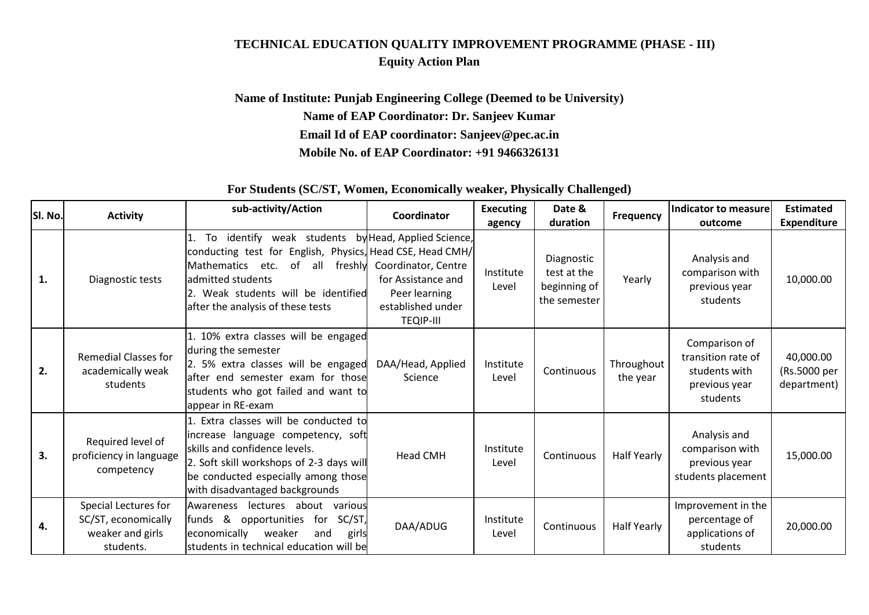## **TECHNICAL EDUCATION QUALITY IMPROVEMENT PROGRAMME (PHASE - III) Equity Action Plan**

## **Name of Institute: Punjab Engineering College (Deemed to be University) Name of EAP Coordinator: Dr. Sanjeev Kumar Email Id of EAP coordinator: Sanjeev@pec.ac.in Mobile No. of EAP Coordinator: +91 9466326131**

## **For Students (SC/ST, Women, Economically weaker, Physically Challenged)**

| SI. No. | <b>Activity</b>                                                              | sub-activity/Action                                                                                                                                                                                                                             | Coordinator                                                                                                 | <b>Executing</b><br>agency | Date &<br>duration                                        | Frequency              | Indicator to measure<br>outcome                                                   | <b>Estimated</b><br><b>Expenditure</b>   |
|---------|------------------------------------------------------------------------------|-------------------------------------------------------------------------------------------------------------------------------------------------------------------------------------------------------------------------------------------------|-------------------------------------------------------------------------------------------------------------|----------------------------|-----------------------------------------------------------|------------------------|-----------------------------------------------------------------------------------|------------------------------------------|
| 1.      | Diagnostic tests                                                             | To identify weak students by Head, Applied Science,<br>conducting test for English, Physics, Head CSE, Head CMH/<br>Mathematics etc.<br>of all<br>admitted students<br>2. Weak students will be identified<br>after the analysis of these tests | freshly Coordinator, Centre<br>for Assistance and<br>Peer learning<br>established under<br><b>TEQIP-III</b> | Institute<br>Level         | Diagnostic<br>test at the<br>beginning of<br>the semester | Yearly                 | Analysis and<br>comparison with<br>previous year<br>students                      | 10,000.00                                |
| 2.      | <b>Remedial Classes for</b><br>academically weak<br>students                 | 1. 10% extra classes will be engaged<br>during the semester<br>2. 5% extra classes will be engaged<br>after end semester exam for those<br>students who got failed and want to<br>appear in RE-exam                                             | DAA/Head, Applied<br>Science                                                                                | Institute<br>Level         | Continuous                                                | Throughout<br>the year | Comparison of<br>transition rate of<br>students with<br>previous year<br>students | 40,000.00<br>(Rs.5000 per<br>department) |
| 3.      | Required level of<br>proficiency in language<br>competency                   | 1. Extra classes will be conducted to<br>increase language competency, soft<br>skills and confidence levels.<br>2. Soft skill workshops of 2-3 days will<br>be conducted especially among those<br>with disadvantaged backgrounds               | <b>Head CMH</b>                                                                                             | Institute<br>Level         | Continuous                                                | Half Yearly            | Analysis and<br>comparison with<br>previous year<br>students placement            | 15,000.00                                |
| 4.      | Special Lectures for<br>SC/ST, economically<br>weaker and girls<br>students. | Awareness lectures about various<br>opportunities for SC/ST,<br>funds &<br>weaker<br>economically<br>and<br>girls<br>students in technical education will be                                                                                    | DAA/ADUG                                                                                                    | Institute<br>Level         | Continuous                                                | Half Yearly            | Improvement in the<br>percentage of<br>applications of<br>students                | 20,000.00                                |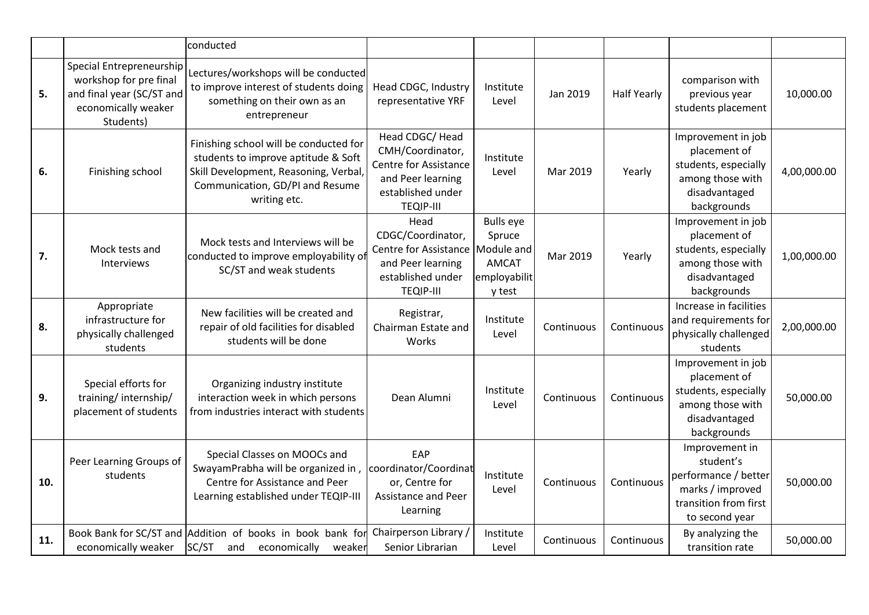|     |                                                                                                                     | conducted                                                                                                                                                                 |                                                                                                                               |                                                                      |            |                    |                                                                                                                    |             |
|-----|---------------------------------------------------------------------------------------------------------------------|---------------------------------------------------------------------------------------------------------------------------------------------------------------------------|-------------------------------------------------------------------------------------------------------------------------------|----------------------------------------------------------------------|------------|--------------------|--------------------------------------------------------------------------------------------------------------------|-------------|
| 5.  | Special Entrepreneurship<br>workshop for pre final<br>and final year (SC/ST and<br>economically weaker<br>Students) | Lectures/workshops will be conducted<br>to improve interest of students doing<br>something on their own as an<br>entrepreneur                                             | Head CDGC, Industry<br>representative YRF                                                                                     | Institute<br>Level                                                   | Jan 2019   | <b>Half Yearly</b> | comparison with<br>previous year<br>students placement                                                             | 10,000.00   |
| 6.  | Finishing school                                                                                                    | Finishing school will be conducted for<br>students to improve aptitude & Soft<br>Skill Development, Reasoning, Verbal,<br>Communication, GD/PI and Resume<br>writing etc. | Head CDGC/ Head<br>CMH/Coordinator,<br>Centre for Assistance<br>and Peer learning<br>established under<br><b>TEQIP-III</b>    | Institute<br>Level                                                   | Mar 2019   | Yearly             | Improvement in job<br>placement of<br>students, especially<br>among those with<br>disadvantaged<br>backgrounds     | 4,00,000.00 |
| 7.  | Mock tests and<br><b>Interviews</b>                                                                                 | Mock tests and Interviews will be<br>conducted to improve employability of<br>SC/ST and weak students                                                                     | Head<br>CDGC/Coordinator,<br>Centre for Assistance   Module and<br>and Peer learning<br>established under<br><b>TEQIP-III</b> | <b>Bulls</b> eye<br>Spruce<br><b>AMCAT</b><br>employabilit<br>y test | Mar 2019   | Yearly             | Improvement in job<br>placement of<br>students, especially<br>among those with<br>disadvantaged<br>backgrounds     | 1,00,000.00 |
| 8.  | Appropriate<br>infrastructure for<br>physically challenged<br>students                                              | New facilities will be created and<br>repair of old facilities for disabled<br>students will be done                                                                      | Registrar,<br>Chairman Estate and<br>Works                                                                                    | Institute<br>Level                                                   | Continuous | Continuous         | Increase in facilities<br>and requirements for<br>physically challenged<br>students                                | 2,00,000.00 |
| 9.  | Special efforts for<br>training/internship/<br>placement of students                                                | Organizing industry institute<br>interaction week in which persons<br>from industries interact with students                                                              | Dean Alumni                                                                                                                   | Institute<br>Level                                                   | Continuous | Continuous         | Improvement in job<br>placement of<br>students, especially<br>among those with<br>disadvantaged<br>backgrounds     | 50,000.00   |
| 10. | Peer Learning Groups of<br>students                                                                                 | Special Classes on MOOCs and<br>SwayamPrabha will be organized in,<br>Centre for Assistance and Peer<br>Learning established under TEQIP-III                              | EAP<br>coordinator/Coordinat<br>or, Centre for<br><b>Assistance and Peer</b><br>Learning                                      | Institute<br>Level                                                   | Continuous | Continuous         | Improvement in<br>student's<br>performance / better<br>marks / improved<br>transition from first<br>to second year | 50,000.00   |
| 11. | economically weaker                                                                                                 | Book Bank for SC/ST and Addition of books in book bank for<br>SC/ST<br>economically<br>weaker<br>and                                                                      | Chairperson Library /<br>Senior Librarian                                                                                     | Institute<br>Level                                                   | Continuous | Continuous         | By analyzing the<br>transition rate                                                                                | 50,000.00   |